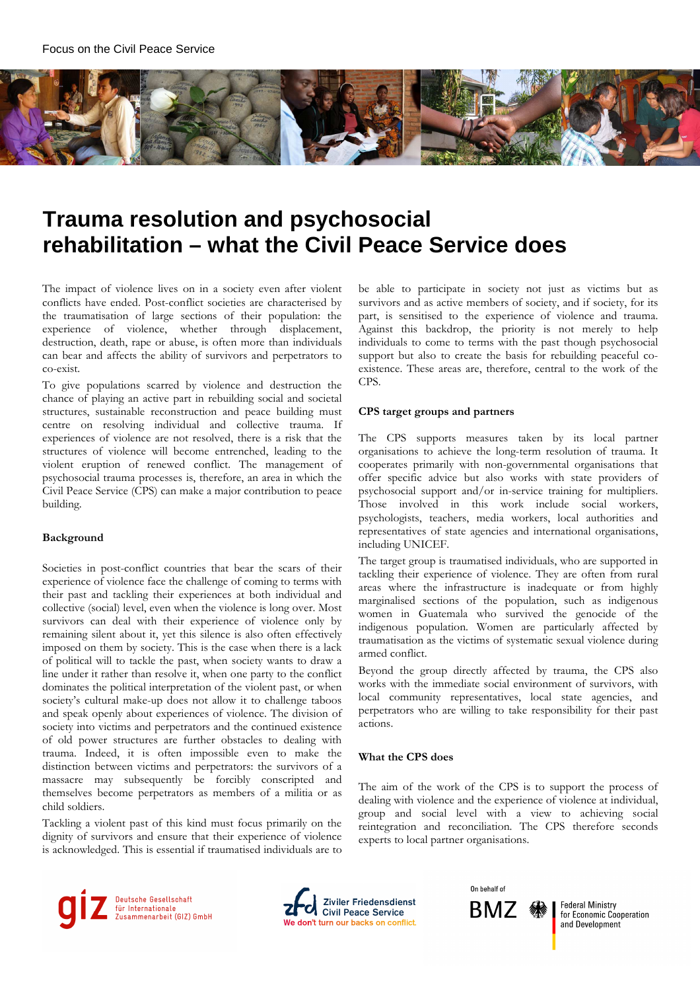

# **Trauma resolution and psychosocial rehabilitation – what the Civil Peace Service does**

The impact of violence lives on in a society even after violent conflicts have ended. Post-conflict societies are characterised by the traumatisation of large sections of their population: the experience of violence, whether through displacement, destruction, death, rape or abuse, is often more than individuals can bear and affects the ability of survivors and perpetrators to co-exist.

To give populations scarred by violence and destruction the chance of playing an active part in rebuilding social and societal structures, sustainable reconstruction and peace building must centre on resolving individual and collective trauma. If experiences of violence are not resolved, there is a risk that the structures of violence will become entrenched, leading to the violent eruption of renewed conflict. The management of psychosocial trauma processes is, therefore, an area in which the Civil Peace Service (CPS) can make a major contribution to peace building.

### **Background**

Societies in post-conflict countries that bear the scars of their experience of violence face the challenge of coming to terms with their past and tackling their experiences at both individual and collective (social) level, even when the violence is long over. Most survivors can deal with their experience of violence only by remaining silent about it, yet this silence is also often effectively imposed on them by society. This is the case when there is a lack of political will to tackle the past, when society wants to draw a line under it rather than resolve it, when one party to the conflict dominates the political interpretation of the violent past, or when society's cultural make-up does not allow it to challenge taboos and speak openly about experiences of violence. The division of society into victims and perpetrators and the continued existence of old power structures are further obstacles to dealing with trauma. Indeed, it is often impossible even to make the distinction between victims and perpetrators: the survivors of a massacre may subsequently be forcibly conscripted and themselves become perpetrators as members of a militia or as child soldiers.

Tackling a violent past of this kind must focus primarily on the dignity of survivors and ensure that their experience of violence is acknowledged. This is essential if traumatised individuals are to

be able to participate in society not just as victims but as survivors and as active members of society, and if society, for its part, is sensitised to the experience of violence and trauma. Against this backdrop, the priority is not merely to help individuals to come to terms with the past though psychosocial support but also to create the basis for rebuilding peaceful coexistence. These areas are, therefore, central to the work of the CPS.

#### **CPS target groups and partners**

The CPS supports measures taken by its local partner organisations to achieve the long-term resolution of trauma. It cooperates primarily with non-governmental organisations that offer specific advice but also works with state providers of psychosocial support and/or in-service training for multipliers. Those involved in this work include social workers, psychologists, teachers, media workers, local authorities and representatives of state agencies and international organisations, including UNICEF.

The target group is traumatised individuals, who are supported in tackling their experience of violence. They are often from rural areas where the infrastructure is inadequate or from highly marginalised sections of the population, such as indigenous women in Guatemala who survived the genocide of the indigenous population. Women are particularly affected by traumatisation as the victims of systematic sexual violence during armed conflict.

Beyond the group directly affected by trauma, the CPS also works with the immediate social environment of survivors, with local community representatives, local state agencies, and perpetrators who are willing to take responsibility for their past actions.

#### **What the CPS does**

The aim of the work of the CPS is to support the process of dealing with violence and the experience of violence at individual, group and social level with a view to achieving social reintegration and reconciliation. The CPS therefore seconds experts to local partner organisations.







**Federal Ministry** for Economic Cooperation and Development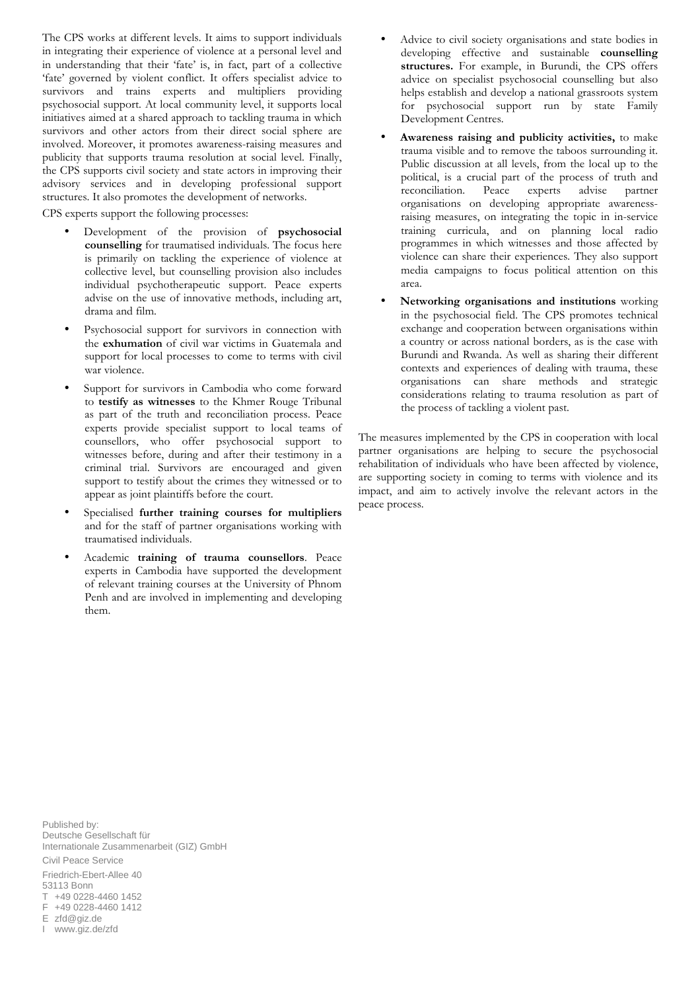The CPS works at different levels. It aims to support individuals in integrating their experience of violence at a personal level and in understanding that their 'fate' is, in fact, part of a collective 'fate' governed by violent conflict. It offers specialist advice to survivors and trains experts and multipliers providing psychosocial support. At local community level, it supports local initiatives aimed at a shared approach to tackling trauma in which survivors and other actors from their direct social sphere are involved. Moreover, it promotes awareness-raising measures and publicity that supports trauma resolution at social level. Finally, the CPS supports civil society and state actors in improving their advisory services and in developing professional support structures. It also promotes the development of networks.

CPS experts support the following processes:

- Development of the provision of **psychosocial counselling** for traumatised individuals. The focus here is primarily on tackling the experience of violence at collective level, but counselling provision also includes individual psychotherapeutic support. Peace experts advise on the use of innovative methods, including art, drama and film.
- Psychosocial support for survivors in connection with the **exhumation** of civil war victims in Guatemala and support for local processes to come to terms with civil war violence.
- Support for survivors in Cambodia who come forward to **testify as witnesses** to the Khmer Rouge Tribunal as part of the truth and reconciliation process. Peace experts provide specialist support to local teams of counsellors, who offer psychosocial support to witnesses before, during and after their testimony in a criminal trial. Survivors are encouraged and given support to testify about the crimes they witnessed or to appear as joint plaintiffs before the court.
- Specialised **further training courses for multipliers**  and for the staff of partner organisations working with traumatised individuals.
- Academic **training of trauma counsellors**. Peace experts in Cambodia have supported the development of relevant training courses at the University of Phnom Penh and are involved in implementing and developing them.
- Advice to civil society organisations and state bodies in developing effective and sustainable **counselling structures.** For example, in Burundi, the CPS offers advice on specialist psychosocial counselling but also helps establish and develop a national grassroots system for psychosocial support run by state Family Development Centres.
- **Awareness raising and publicity activities,** to make trauma visible and to remove the taboos surrounding it. Public discussion at all levels, from the local up to the political, is a crucial part of the process of truth and reconciliation. Peace experts advise partner organisations on developing appropriate awarenessraising measures, on integrating the topic in in-service training curricula, and on planning local radio programmes in which witnesses and those affected by violence can share their experiences. They also support media campaigns to focus political attention on this area.
- **Networking organisations and institutions** working in the psychosocial field. The CPS promotes technical exchange and cooperation between organisations within a country or across national borders, as is the case with Burundi and Rwanda. As well as sharing their different contexts and experiences of dealing with trauma, these organisations can share methods and strategic considerations relating to trauma resolution as part of the process of tackling a violent past.

The measures implemented by the CPS in cooperation with local partner organisations are helping to secure the psychosocial rehabilitation of individuals who have been affected by violence, are supporting society in coming to terms with violence and its impact, and aim to actively involve the relevant actors in the peace process.

Published by: Deutsche Gesellschaft für Internationale Zusammenarbeit (GIZ) GmbH Civil Peace Service Friedrich-Ebert-Allee 40 53113 Bonn T +49 0228-4460 1452 F +49 0228-4460 1412 E zfd@giz.de I www.giz.de/zfd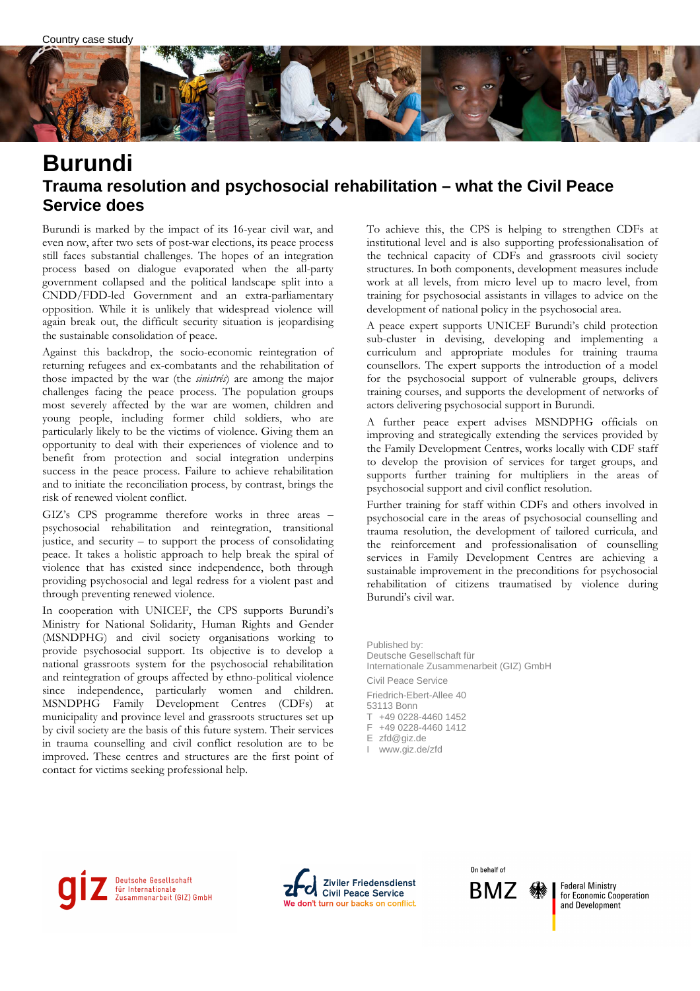

### **Burundi Trauma resolution and psychosocial rehabilitation – what the Civil Peace Service does**

Burundi is marked by the impact of its 16-year civil war, and even now, after two sets of post-war elections, its peace process still faces substantial challenges. The hopes of an integration process based on dialogue evaporated when the all-party government collapsed and the political landscape split into a CNDD/FDD-led Government and an extra-parliamentary opposition. While it is unlikely that widespread violence will again break out, the difficult security situation is jeopardising the sustainable consolidation of peace.

Against this backdrop, the socio-economic reintegration of returning refugees and ex-combatants and the rehabilitation of those impacted by the war (the *sinistrés*) are among the major challenges facing the peace process. The population groups most severely affected by the war are women, children and young people, including former child soldiers, who are particularly likely to be the victims of violence. Giving them an opportunity to deal with their experiences of violence and to benefit from protection and social integration underpins success in the peace process. Failure to achieve rehabilitation and to initiate the reconciliation process, by contrast, brings the risk of renewed violent conflict.

GIZ's CPS programme therefore works in three areas – psychosocial rehabilitation and reintegration, transitional justice, and security – to support the process of consolidating peace. It takes a holistic approach to help break the spiral of violence that has existed since independence, both through providing psychosocial and legal redress for a violent past and through preventing renewed violence.

In cooperation with UNICEF, the CPS supports Burundi's Ministry for National Solidarity, Human Rights and Gender (MSNDPHG) and civil society organisations working to provide psychosocial support. Its objective is to develop a national grassroots system for the psychosocial rehabilitation and reintegration of groups affected by ethno-political violence since independence, particularly women and children. MSNDPHG Family Development Centres (CDFs) at municipality and province level and grassroots structures set up by civil society are the basis of this future system. Their services in trauma counselling and civil conflict resolution are to be improved. These centres and structures are the first point of contact for victims seeking professional help.

To achieve this, the CPS is helping to strengthen CDFs at institutional level and is also supporting professionalisation of the technical capacity of CDFs and grassroots civil society structures. In both components, development measures include work at all levels, from micro level up to macro level, from training for psychosocial assistants in villages to advice on the development of national policy in the psychosocial area.

A peace expert supports UNICEF Burundi's child protection sub-cluster in devising, developing and implementing a curriculum and appropriate modules for training trauma counsellors. The expert supports the introduction of a model for the psychosocial support of vulnerable groups, delivers training courses, and supports the development of networks of actors delivering psychosocial support in Burundi.

A further peace expert advises MSNDPHG officials on improving and strategically extending the services provided by the Family Development Centres, works locally with CDF staff to develop the provision of services for target groups, and supports further training for multipliers in the areas of psychosocial support and civil conflict resolution.

Further training for staff within CDFs and others involved in psychosocial care in the areas of psychosocial counselling and trauma resolution, the development of tailored curricula, and the reinforcement and professionalisation of counselling services in Family Development Centres are achieving a sustainable improvement in the preconditions for psychosocial rehabilitation of citizens traumatised by violence during Burundi's civil war.

Published by: Deutsche Gesellschaft für Internationale Zusammenarbeit (GIZ) GmbH Civil Peace Service Friedrich-Ebert-Allee 40 53113 Bonn T +49 0228-4460 1452 F +49 0228-4460 1412

E zfd@giz.de

I www.giz.de/zfd

Deutsche Gesellschaft Francische Gesettschaft<br>für Internationale<br>Zusammenarbeit (GIZ) GmbH



On behalf of **BMZ** 

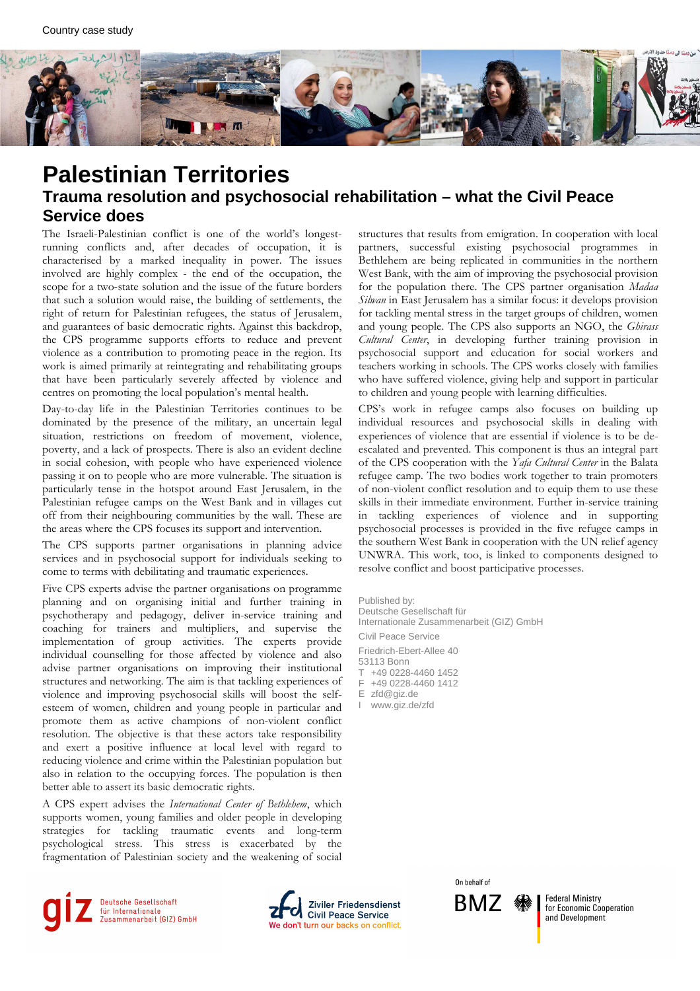

## **Palestinian Territories Trauma resolution and psychosocial rehabilitation – what the Civil Peace Service does**

The Israeli-Palestinian conflict is one of the world's longestrunning conflicts and, after decades of occupation, it is characterised by a marked inequality in power. The issues involved are highly complex - the end of the occupation, the scope for a two-state solution and the issue of the future borders that such a solution would raise, the building of settlements, the right of return for Palestinian refugees, the status of Jerusalem, and guarantees of basic democratic rights. Against this backdrop, the CPS programme supports efforts to reduce and prevent violence as a contribution to promoting peace in the region. Its work is aimed primarily at reintegrating and rehabilitating groups that have been particularly severely affected by violence and centres on promoting the local population's mental health.

Day-to-day life in the Palestinian Territories continues to be dominated by the presence of the military, an uncertain legal situation, restrictions on freedom of movement, violence, poverty, and a lack of prospects. There is also an evident decline in social cohesion, with people who have experienced violence passing it on to people who are more vulnerable. The situation is particularly tense in the hotspot around East Jerusalem, in the Palestinian refugee camps on the West Bank and in villages cut off from their neighbouring communities by the wall. These are the areas where the CPS focuses its support and intervention.

The CPS supports partner organisations in planning advice services and in psychosocial support for individuals seeking to come to terms with debilitating and traumatic experiences.

Five CPS experts advise the partner organisations on programme planning and on organising initial and further training in psychotherapy and pedagogy, deliver in-service training and coaching for trainers and multipliers, and supervise the implementation of group activities. The experts provide individual counselling for those affected by violence and also advise partner organisations on improving their institutional structures and networking. The aim is that tackling experiences of violence and improving psychosocial skills will boost the selfesteem of women, children and young people in particular and promote them as active champions of non-violent conflict resolution. The objective is that these actors take responsibility and exert a positive influence at local level with regard to reducing violence and crime within the Palestinian population but also in relation to the occupying forces. The population is then better able to assert its basic democratic rights.

A CPS expert advises the *International Center of Bethlehem*, which supports women, young families and older people in developing strategies for tackling traumatic events and long-term psychological stress. This stress is exacerbated by the fragmentation of Palestinian society and the weakening of social

Deutsche Gesellschaft für Internationale<br>Zusammenarbeit (GIZ) GmbH



structures that results from emigration. In cooperation with local partners, successful existing psychosocial programmes in Bethlehem are being replicated in communities in the northern West Bank, with the aim of improving the psychosocial provision for the population there. The CPS partner organisation *Madaa Silwan* in East Jerusalem has a similar focus: it develops provision for tackling mental stress in the target groups of children, women and young people. The CPS also supports an NGO, the *Ghirass Cultural Center*, in developing further training provision in psychosocial support and education for social workers and teachers working in schools. The CPS works closely with families who have suffered violence, giving help and support in particular to children and young people with learning difficulties.

CPS's work in refugee camps also focuses on building up individual resources and psychosocial skills in dealing with experiences of violence that are essential if violence is to be deescalated and prevented. This component is thus an integral part of the CPS cooperation with the *Yafa Cultural Center* in the Balata refugee camp. The two bodies work together to train promoters of non-violent conflict resolution and to equip them to use these skills in their immediate environment. Further in-service training in tackling experiences of violence and in supporting psychosocial processes is provided in the five refugee camps in the southern West Bank in cooperation with the UN relief agency UNWRA. This work, too, is linked to components designed to resolve conflict and boost participative processes.

Published by: Deutsche Gesellschaft für Internationale Zusammenarbeit (GIZ) GmbH Civil Peace Service Friedrich-Ebert-Allee 40 53113 Bonn T +49 0228-4460 1452 F +49 0228-4460 1412 E zfd@giz.de I www.giz.de/zfd

> On hehalf of BMZ

**Federal Ministry** for Economic Cooperation and Development